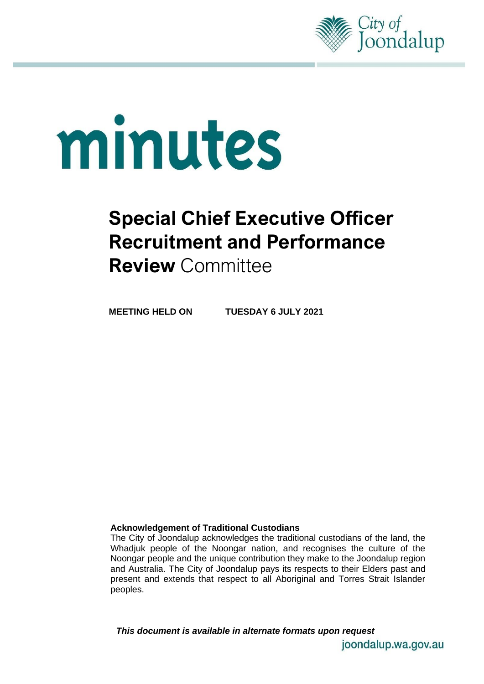

# minutes

# **Special Chief Executive Officer Recruitment and Performance Review** Committee

**MEETING HELD ON TUESDAY 6 JULY 2021**

### **Acknowledgement of Traditional Custodians**

The City of Joondalup acknowledges the traditional custodians of the land, the Whadjuk people of the Noongar nation, and recognises the culture of the Noongar people and the unique contribution they make to the Joondalup region and Australia. The City of Joondalup pays its respects to their Elders past and present and extends that respect to all Aboriginal and Torres Strait Islander peoples.

*This document is available in alternate formats upon request*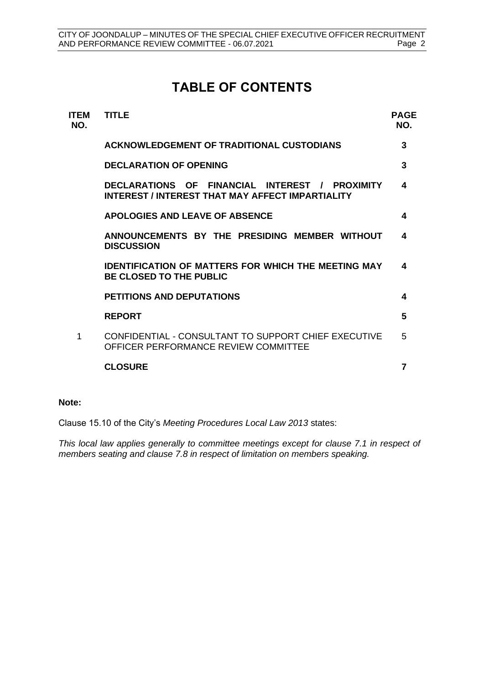# **TABLE OF CONTENTS**

| <b>ITEM</b><br>NO. | TITLE                                                                                                     | <b>PAGE</b><br>NO. |
|--------------------|-----------------------------------------------------------------------------------------------------------|--------------------|
|                    | <b>ACKNOWLEDGEMENT OF TRADITIONAL CUSTODIANS</b>                                                          | 3                  |
|                    | <b>DECLARATION OF OPENING</b>                                                                             | 3                  |
|                    | DECLARATIONS OF FINANCIAL INTEREST / PROXIMITY<br><b>INTEREST / INTEREST THAT MAY AFFECT IMPARTIALITY</b> | 4                  |
|                    | <b>APOLOGIES AND LEAVE OF ABSENCE</b>                                                                     | 4                  |
|                    | ANNOUNCEMENTS BY THE PRESIDING MEMBER WITHOUT<br><b>DISCUSSION</b>                                        | 4                  |
|                    | <b>IDENTIFICATION OF MATTERS FOR WHICH THE MEETING MAY</b><br><b>BE CLOSED TO THE PUBLIC</b>              | 4                  |
|                    | <b>PETITIONS AND DEPUTATIONS</b>                                                                          | 4                  |
|                    | <b>REPORT</b>                                                                                             | 5                  |
| 1                  | CONFIDENTIAL - CONSULTANT TO SUPPORT CHIEF EXECUTIVE<br>OFFICER PERFORMANCE REVIEW COMMITTEE              | 5                  |
|                    | <b>CLOSURE</b>                                                                                            | $\overline{7}$     |
|                    |                                                                                                           |                    |

### **Note:**

Clause 15.10 of the City's *Meeting Procedures Local Law 2013* states:

*This local law applies generally to committee meetings except for clause 7.1 in respect of members seating and clause 7.8 in respect of limitation on members speaking.*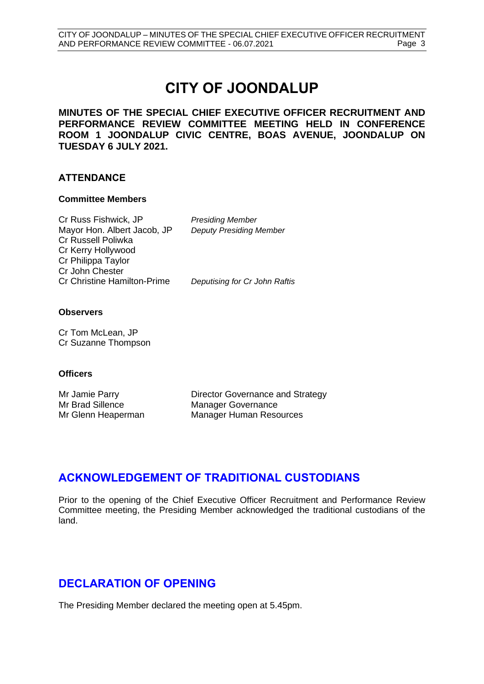# **CITY OF JOONDALUP**

**MINUTES OF THE SPECIAL CHIEF EXECUTIVE OFFICER RECRUITMENT AND PERFORMANCE REVIEW COMMITTEE MEETING HELD IN CONFERENCE ROOM 1 JOONDALUP CIVIC CENTRE, BOAS AVENUE, JOONDALUP ON TUESDAY 6 JULY 2021.**

### **ATTENDANCE**

### **Committee Members**

Cr Russ Fishwick, JP *Presiding Member* Mayor Hon. Albert Jacob, JP *Deputy Presiding Member* Cr Russell Poliwka Cr Kerry Hollywood Cr Philippa Taylor Cr John Chester Cr Christine Hamilton-Prime *Deputising for Cr John Raftis*

### **Observers**

Cr Tom McLean, JP Cr Suzanne Thompson

### **Officers**

Mr Jamie Parry **Director Governance and Strategy** Mr Brad Sillence Manager Governance Mr Glenn Heaperman Manager Human Resources

# <span id="page-2-0"></span>**ACKNOWLEDGEMENT OF TRADITIONAL CUSTODIANS**

Prior to the opening of the Chief Executive Officer Recruitment and Performance Review Committee meeting, the Presiding Member acknowledged the traditional custodians of the land.

# **DECLARATION OF OPENING**

<span id="page-2-1"></span>The Presiding Member declared the meeting open at 5.45pm.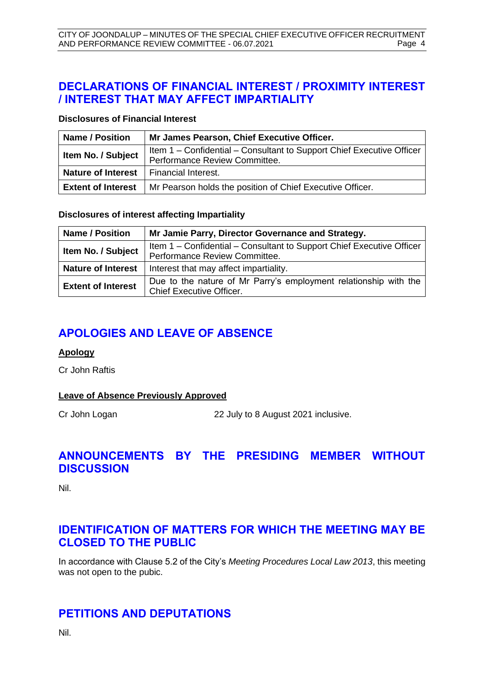# **DECLARATIONS OF FINANCIAL INTEREST / PROXIMITY INTEREST / INTEREST THAT MAY AFFECT IMPARTIALITY**

### **Disclosures of Financial Interest**

| <b>Name / Position</b>                          | Mr James Pearson, Chief Executive Officer.                                                             |  |
|-------------------------------------------------|--------------------------------------------------------------------------------------------------------|--|
| Item No. / Subject                              | Item 1 – Confidential – Consultant to Support Chief Executive Officer<br>Performance Review Committee. |  |
| <b>Nature of Interest</b>   Financial Interest. |                                                                                                        |  |
| <b>Extent of Interest</b>                       | Mr Pearson holds the position of Chief Executive Officer.                                              |  |

**Disclosures of interest affecting Impartiality**

| <b>Name / Position</b>    | Mr Jamie Parry, Director Governance and Strategy.                                                      |  |
|---------------------------|--------------------------------------------------------------------------------------------------------|--|
| Item No. / Subject        | Item 1 – Confidential – Consultant to Support Chief Executive Officer<br>Performance Review Committee. |  |
| <b>Nature of Interest</b> | Interest that may affect impartiality.                                                                 |  |
| <b>Extent of Interest</b> | Due to the nature of Mr Parry's employment relationship with the<br><b>Chief Executive Officer.</b>    |  |

# <span id="page-3-0"></span>**APOLOGIES AND LEAVE OF ABSENCE**

### **Apology**

Cr John Raftis

### **Leave of Absence Previously Approved**

Cr John Logan 22 July to 8 August 2021 inclusive.

# <span id="page-3-1"></span>**ANNOUNCEMENTS BY THE PRESIDING MEMBER WITHOUT DISCUSSION**

Nil.

# <span id="page-3-2"></span>**IDENTIFICATION OF MATTERS FOR WHICH THE MEETING MAY BE CLOSED TO THE PUBLIC**

In accordance with Clause 5.2 of the City's *Meeting Procedures Local Law 2013*, this meeting was not open to the pubic.

# <span id="page-3-3"></span>**PETITIONS AND DEPUTATIONS**

Nil.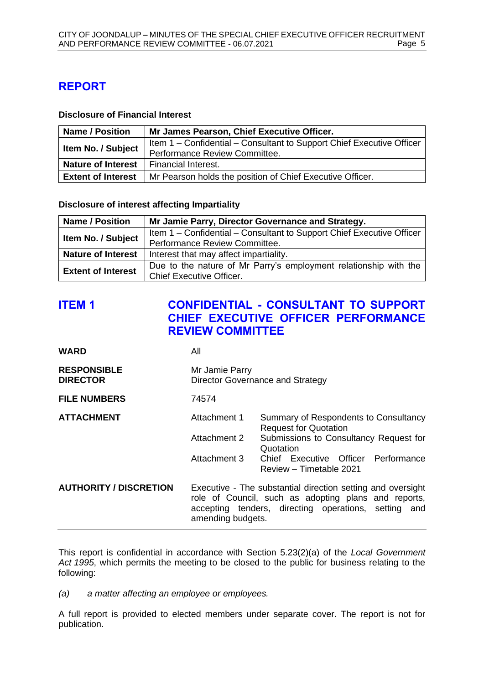# <span id="page-4-0"></span>**REPORT**

### **Disclosure of Financial Interest**

| <b>Name / Position</b>    | Mr James Pearson, Chief Executive Officer.                            |
|---------------------------|-----------------------------------------------------------------------|
| Item No. / Subject        | Item 1 – Confidential – Consultant to Support Chief Executive Officer |
|                           | Performance Review Committee.                                         |
| <b>Nature of Interest</b> | <b>Financial Interest.</b>                                            |
| <b>Extent of Interest</b> | Mr Pearson holds the position of Chief Executive Officer.             |

**Disclosure of interest affecting Impartiality**

| <b>Name / Position</b>    | Mr Jamie Parry, Director Governance and Strategy.                     |  |
|---------------------------|-----------------------------------------------------------------------|--|
| Item No. / Subject        | Item 1 – Confidential – Consultant to Support Chief Executive Officer |  |
|                           | Performance Review Committee.                                         |  |
| <b>Nature of Interest</b> | Interest that may affect impartiality.                                |  |
| <b>Extent of Interest</b> | Due to the nature of Mr Parry's employment relationship with the      |  |
|                           | <b>Chief Executive Officer.</b>                                       |  |

# <span id="page-4-1"></span>**ITEM 1 CONFIDENTIAL - CONSULTANT TO SUPPORT CHIEF EXECUTIVE OFFICER PERFORMANCE REVIEW COMMITTEE**

| <b>WARD</b>                           | All                                                                                                                                                                                              |                                                                       |  |
|---------------------------------------|--------------------------------------------------------------------------------------------------------------------------------------------------------------------------------------------------|-----------------------------------------------------------------------|--|
| <b>RESPONSIBLE</b><br><b>DIRECTOR</b> | Mr Jamie Parry<br>Director Governance and Strategy                                                                                                                                               |                                                                       |  |
| <b>FILE NUMBERS</b>                   | 74574                                                                                                                                                                                            |                                                                       |  |
| <b>ATTACHMENT</b>                     | Attachment 1                                                                                                                                                                                     | Summary of Respondents to Consultancy<br><b>Request for Quotation</b> |  |
|                                       | Attachment 2                                                                                                                                                                                     | Submissions to Consultancy Request for<br>Quotation                   |  |
|                                       | Attachment 3                                                                                                                                                                                     | Chief Executive Officer Performance<br>Review - Timetable 2021        |  |
| <b>AUTHORITY / DISCRETION</b>         | Executive - The substantial direction setting and oversight<br>role of Council, such as adopting plans and reports,<br>accepting tenders, directing operations, setting and<br>amending budgets. |                                                                       |  |

This report is confidential in accordance with Section 5.23(2)(a) of the *Local Government Act 1995*, which permits the meeting to be closed to the public for business relating to the following:

*(a) a matter affecting an employee or employees.*

A full report is provided to elected members under separate cover. The report is not for publication.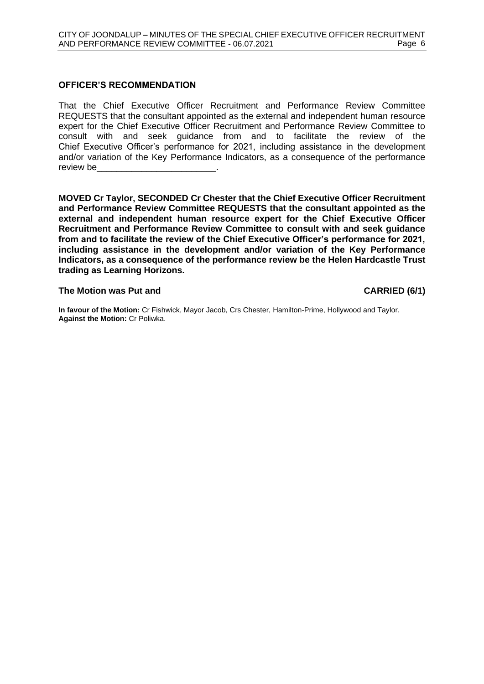### **OFFICER'S RECOMMENDATION**

That the Chief Executive Officer Recruitment and Performance Review Committee REQUESTS that the consultant appointed as the external and independent human resource expert for the Chief Executive Officer Recruitment and Performance Review Committee to consult with and seek guidance from and to facilitate the review of the Chief Executive Officer's performance for 2021, including assistance in the development and/or variation of the Key Performance Indicators, as a consequence of the performance review be

**MOVED Cr Taylor, SECONDED Cr Chester that the Chief Executive Officer Recruitment and Performance Review Committee REQUESTS that the consultant appointed as the external and independent human resource expert for the Chief Executive Officer Recruitment and Performance Review Committee to consult with and seek guidance from and to facilitate the review of the Chief Executive Officer's performance for 2021, including assistance in the development and/or variation of the Key Performance Indicators, as a consequence of the performance review be the Helen Hardcastle Trust trading as Learning Horizons.**

### **The Motion was Put and CARRIED (6/1)**

**In favour of the Motion:** Cr Fishwick, Mayor Jacob, Crs Chester, Hamilton-Prime, Hollywood and Taylor. **Against the Motion:** Cr Poliwka.